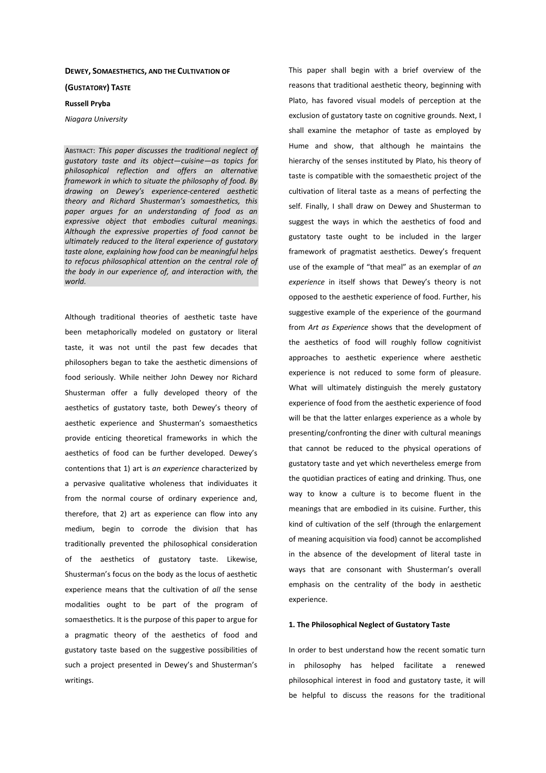### **DEWEY, SOMAESTHETICS, AND THE CULTIVATION OF**

### **(GUSTATORY) TASTE**

## **Russell Pryba**

# *Niagara University*

ABSTRACT: *This paper discusses the traditional neglect of gustatory taste and its object—cuisine—as topics for philosophical reflection and offers an alternative framework in which to situate the philosophy of food. By drawing on Dewey's experience-centered aesthetic theory and Richard Shusterman's somaesthetics, this paper argues for an understanding of food as an expressive object that embodies cultural meanings. Although the expressive properties of food cannot be ultimately reduced to the literal experience of gustatory taste alone, explaining how food can be meaningful helps to refocus philosophical attention on the central role of the body in our experience of, and interaction with, the world.* 

Although traditional theories of aesthetic taste have been metaphorically modeled on gustatory or literal taste, it was not until the past few decades that philosophers began to take the aesthetic dimensions of food seriously. While neither John Dewey nor Richard Shusterman offer a fully developed theory of the aesthetics of gustatory taste, both Dewey's theory of aesthetic experience and Shusterman's somaesthetics provide enticing theoretical frameworks in which the aesthetics of food can be further developed. Dewey's contentions that 1) art is *an experience* characterized by a pervasive qualitative wholeness that individuates it from the normal course of ordinary experience and, therefore, that 2) art as experience can flow into any medium, begin to corrode the division that has traditionally prevented the philosophical consideration of the aesthetics of gustatory taste. Likewise, Shusterman's focus on the body as the locus of aesthetic experience means that the cultivation of *all* the sense modalities ought to be part of the program of somaesthetics. It is the purpose of this paper to argue for a pragmatic theory of the aesthetics of food and gustatory taste based on the suggestive possibilities of such a project presented in Dewey's and Shusterman's writings.

This paper shall begin with a brief overview of the reasons that traditional aesthetic theory, beginning with Plato, has favored visual models of perception at the exclusion of gustatory taste on cognitive grounds. Next, I shall examine the metaphor of taste as employed by Hume and show, that although he maintains the hierarchy of the senses instituted by Plato, his theory of taste is compatible with the somaesthetic project of the cultivation of literal taste as a means of perfecting the self. Finally, I shall draw on Dewey and Shusterman to suggest the ways in which the aesthetics of food and gustatory taste ought to be included in the larger framework of pragmatist aesthetics. Dewey's frequent use of the example of "that meal" as an exemplar of *an experience* in itself shows that Dewey's theory is not opposed to the aesthetic experience of food. Further, his suggestive example of the experience of the gourmand from *Art as Experience* shows that the development of the aesthetics of food will roughly follow cognitivist approaches to aesthetic experience where aesthetic experience is not reduced to some form of pleasure. What will ultimately distinguish the merely gustatory experience of food from the aesthetic experience of food will be that the latter enlarges experience as a whole by presenting/confronting the diner with cultural meanings that cannot be reduced to the physical operations of gustatory taste and yet which nevertheless emerge from the quotidian practices of eating and drinking. Thus, one way to know a culture is to become fluent in the meanings that are embodied in its cuisine. Further, this kind of cultivation of the self (through the enlargement of meaning acquisition via food) cannot be accomplished in the absence of the development of literal taste in ways that are consonant with Shusterman's overall emphasis on the centrality of the body in aesthetic experience.

### **1. The Philosophical Neglect of Gustatory Taste**

In order to best understand how the recent somatic turn in philosophy has helped facilitate a renewed philosophical interest in food and gustatory taste, it will be helpful to discuss the reasons for the traditional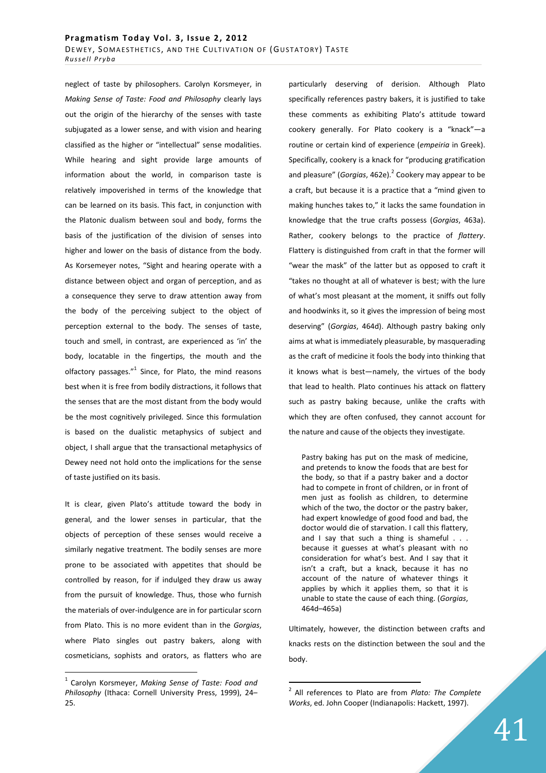neglect of taste by philosophers. Carolyn Korsmeyer, in *Making Sense of Taste: Food and Philosophy* clearly lays out the origin of the hierarchy of the senses with taste subjugated as a lower sense, and with vision and hearing classified as the higher or "intellectual" sense modalities. While hearing and sight provide large amounts of information about the world, in comparison taste is relatively impoverished in terms of the knowledge that can be learned on its basis. This fact, in conjunction with the Platonic dualism between soul and body, forms the basis of the justification of the division of senses into higher and lower on the basis of distance from the body. As Korsemeyer notes, "Sight and hearing operate with a distance between object and organ of perception, and as a consequence they serve to draw attention away from the body of the perceiving subject to the object of perception external to the body. The senses of taste, touch and smell, in contrast, are experienced as 'in' the body, locatable in the fingertips, the mouth and the olfactory passages."<sup>1</sup> Since, for Plato, the mind reasons best when it is free from bodily distractions, it follows that the senses that are the most distant from the body would be the most cognitively privileged. Since this formulation is based on the dualistic metaphysics of subject and object, I shall argue that the transactional metaphysics of Dewey need not hold onto the implications for the sense of taste justified on its basis.

It is clear, given Plato's attitude toward the body in general, and the lower senses in particular, that the objects of perception of these senses would receive a similarly negative treatment. The bodily senses are more prone to be associated with appetites that should be controlled by reason, for if indulged they draw us away from the pursuit of knowledge. Thus, those who furnish the materials of over-indulgence are in for particular scorn from Plato. This is no more evident than in the *Gorgias*, where Plato singles out pastry bakers, along with cosmeticians, sophists and orators, as flatters who are

 $\overline{a}$ 

particularly deserving of derision. Although Plato specifically references pastry bakers, it is justified to take these comments as exhibiting Plato's attitude toward cookery generally. For Plato cookery is a "knack"—a routine or certain kind of experience (*empeiria* in Greek). Specifically, cookery is a knack for "producing gratification and pleasure" (*Gorgias,* 462e).<sup>2</sup> Cookery may appear to be a craft, but because it is a practice that a "mind given to making hunches takes to," it lacks the same foundation in knowledge that the true crafts possess (*Gorgias*, 463a). Rather, cookery belongs to the practice of *flattery*. Flattery is distinguished from craft in that the former will "wear the mask" of the latter but as opposed to craft it "takes no thought at all of whatever is best; with the lure of what's most pleasant at the moment, it sniffs out folly and hoodwinks it, so it gives the impression of being most deserving" (*Gorgias*, 464d). Although pastry baking only aims at what is immediately pleasurable, by masquerading as the craft of medicine it fools the body into thinking that it knows what is best—namely, the virtues of the body that lead to health. Plato continues his attack on flattery such as pastry baking because, unlike the crafts with which they are often confused, they cannot account for the nature and cause of the objects they investigate.

Pastry baking has put on the mask of medicine, and pretends to know the foods that are best for the body, so that if a pastry baker and a doctor had to compete in front of children, or in front of men just as foolish as children, to determine which of the two, the doctor or the pastry baker, had expert knowledge of good food and bad, the doctor would die of starvation. I call this flattery, and I say that such a thing is shameful . . . because it guesses at what's pleasant with no consideration for what's best. And I say that it isn't a craft, but a knack, because it has no account of the nature of whatever things it applies by which it applies them, so that it is unable to state the cause of each thing. (*Gorgias*, 464d–465a)

Ultimately, however, the distinction between crafts and knacks rests on the distinction between the soul and the body.

<sup>1</sup> Carolyn Korsmeyer, *Making Sense of Taste: Food and Philosophy* (Ithaca: Cornell University Press, 1999), 24– 25.

<sup>2</sup> All references to Plato are from *Plato: The Complete Works*, ed. John Cooper (Indianapolis: Hackett, 1997).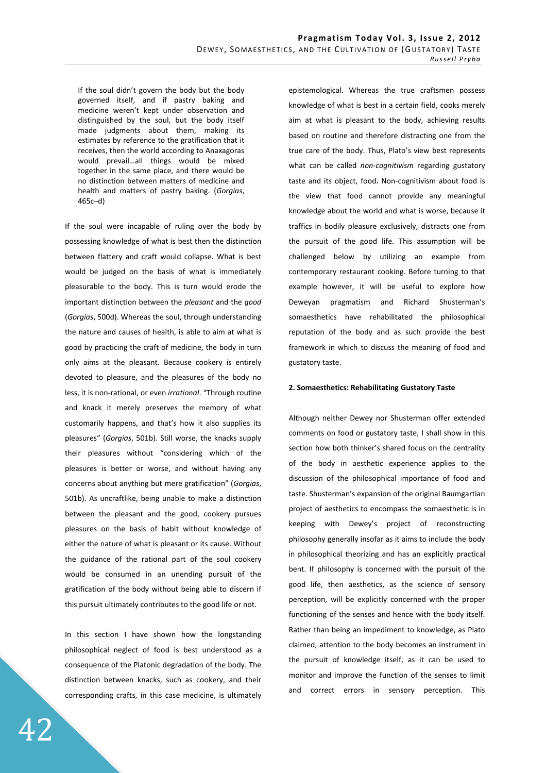If the soul didn't govern the body but the body governed itself, and if pastry baking and medicine weren't kept under observation and distinguished by the soul, but the body itself made judgments about them, making its estimates by reference to the gratification that it receives, then the world according to Anaxagoras would prevail…all things would be mixed together in the same place, and there would be no distinction between matters of medicine and health and matters of pastry baking. (*Gorgias*, 465c–d)

If the soul were incapable of ruling over the body by possessing knowledge of what is best then the distinction between flattery and craft would collapse. What is best would be judged on the basis of what is immediately pleasurable to the body. This is turn would erode the important distinction between the *pleasant* and the *good* (*Gorgias*, 500d). Whereas the soul, through understanding the nature and causes of health, is able to aim at what is good by practicing the craft of medicine, the body in turn only aims at the pleasant. Because cookery is entirely devoted to pleasure, and the pleasures of the body no less, it is non-rational, or even *irrational*. "Through routine and knack it merely preserves the memory of what customarily happens, and that's how it also supplies its pleasures" (*Gorgias*, 501b). Still worse, the knacks supply their pleasures without "considering which of the pleasures is better or worse, and without having any concerns about anything but mere gratification" (*Gorgias*, 501b). As uncraftlike, being unable to make a distinction between the pleasant and the good, cookery pursues pleasures on the basis of habit without knowledge of either the nature of what is pleasant or its cause. Without the guidance of the rational part of the soul cookery would be consumed in an unending pursuit of the gratification of the body without being able to discern if this pursuit ultimately contributes to the good life or not.

In this section I have shown how the longstanding philosophical neglect of food is best understood as a consequence of the Platonic degradation of the body. The distinction between knacks, such as cookery, and their corresponding crafts, in this case medicine, is ultimately

epistemological. Whereas the true craftsmen possess knowledge of what is best in a certain field, cooks merely aim at what is pleasant to the body, achieving results based on routine and therefore distracting one from the true care of the body. Thus, Plato's view best represents what can be called *non-cognitivism* regarding gustatory taste and its object, food. Non-cognitivism about food is the view that food cannot provide any meaningful knowledge about the world and what is worse, because it traffics in bodily pleasure exclusively, distracts one from the pursuit of the good life. This assumption will be challenged below by utilizing an example from contemporary restaurant cooking. Before turning to that example however, it will be useful to explore how Deweyan pragmatism and Richard Shusterman's somaesthetics have rehabilitated the philosophical reputation of the body and as such provide the best framework in which to discuss the meaning of food and gustatory taste.

## **2. Somaesthetics: Rehabilitating Gustatory Taste**

Although neither Dewey nor Shusterman offer extended comments on food or gustatory taste, I shall show in this section how both thinker's shared focus on the centrality of the body in aesthetic experience applies to the discussion of the philosophical importance of food and taste. Shusterman's expansion of the original Baumgartian project of aesthetics to encompass the somaesthetic is in keeping with Dewey's project of reconstructing philosophy generally insofar as it aims to include the body in philosophical theorizing and has an explicitly practical bent. If philosophy is concerned with the pursuit of the good life, then aesthetics, as the science of sensory perception, will be explicitly concerned with the proper functioning of the senses and hence with the body itself. Rather than being an impediment to knowledge, as Plato claimed, attention to the body becomes an instrument in the pursuit of knowledge itself, as it can be used to monitor and improve the function of the senses to limit and correct errors in sensory perception. This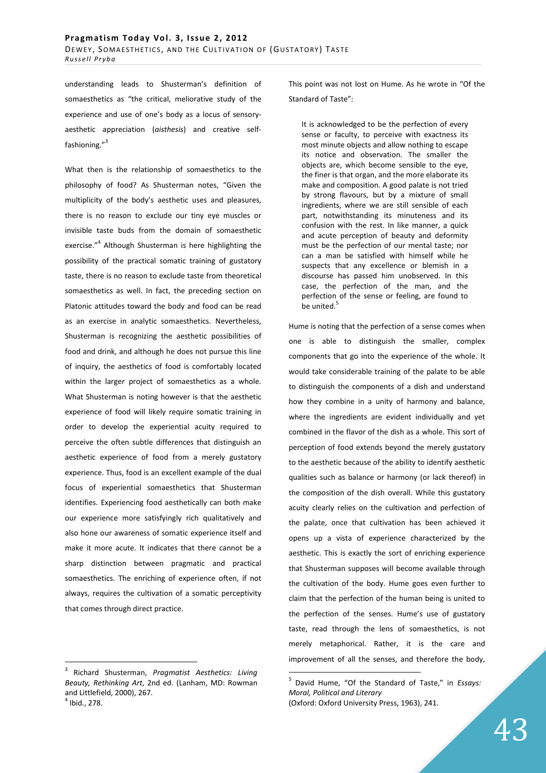understanding leads to Shusterman's definition of somaesthetics as "the critical, meliorative study of the experience and use of one's body as a locus of sensoryaesthetic appreciation (*aisthesis*) and creative selffashioning."<sup>3</sup>

What then is the relationship of somaesthetics to the philosophy of food? As Shusterman notes, "Given the multiplicity of the body's aesthetic uses and pleasures, there is no reason to exclude our tiny eye muscles or invisible taste buds from the domain of somaesthetic exercise."<sup>4</sup> Although Shusterman is here highlighting the possibility of the practical somatic training of gustatory taste, there is no reason to exclude taste from theoretical somaesthetics as well. In fact, the preceding section on Platonic attitudes toward the body and food can be read as an exercise in analytic somaesthetics. Nevertheless, Shusterman is recognizing the aesthetic possibilities of food and drink, and although he does not pursue this line of inquiry, the aesthetics of food is comfortably located within the larger project of somaesthetics as a whole. What Shusterman is noting however is that the aesthetic experience of food will likely require somatic training in order to develop the experiential acuity required to perceive the often subtle differences that distinguish an aesthetic experience of food from a merely gustatory experience. Thus, food is an excellent example of the dual focus of experiential somaesthetics that Shusterman identifies. Experiencing food aesthetically can both make our experience more satisfyingly rich qualitatively and also hone our awareness of somatic experience itself and make it more acute. It indicates that there cannot be a sharp distinction between pragmatic and practical somaesthetics. The enriching of experience often, if not always, requires the cultivation of a somatic perceptivity that comes through direct practice.

3 Richard Shusterman, *Pragmatist Aesthetics: Living Beauty, Rethinking Art*, 2nd ed. (Lanham, MD: Rowman and Littlefield, 2000), 267. 4 Ibid., 278.

 $\overline{a}$ 

This point was not lost on Hume. As he wrote in "Of the Standard of Taste":

It is acknowledged to be the perfection of every sense or faculty, to perceive with exactness its most minute objects and allow nothing to escape its notice and observation. The smaller the objects are, which become sensible to the eye, the finer is that organ, and the more elaborate its make and composition. A good palate is not tried by strong flavours, but by a mixture of small ingredients, where we are still sensible of each part, notwithstanding its minuteness and its confusion with the rest. In like manner, a quick and acute perception of beauty and deformity must be the perfection of our mental taste; nor can a man be satisfied with himself while he suspects that any excellence or blemish in a discourse has passed him unobserved. In this case, the perfection of the man, and the perfection of the sense or feeling, are found to be united.<sup>5</sup>

Hume is noting that the perfection of a sense comes when one is able to distinguish the smaller, complex components that go into the experience of the whole. It would take considerable training of the palate to be able to distinguish the components of a dish and understand how they combine in a unity of harmony and balance, where the ingredients are evident individually and yet combined in the flavor of the dish as a whole. This sort of perception of food extends beyond the merely gustatory to the aesthetic because of the ability to identify aesthetic qualities such as balance or harmony (or lack thereof) in the composition of the dish overall. While this gustatory acuity clearly relies on the cultivation and perfection of the palate, once that cultivation has been achieved it opens up a vista of experience characterized by the aesthetic. This is exactly the sort of enriching experience that Shusterman supposes will become available through the cultivation of the body. Hume goes even further to claim that the perfection of the human being is united to the perfection of the senses. Hume's use of gustatory taste, read through the lens of somaesthetics, is not merely metaphorical. Rather, it is the care and improvement of all the senses, and therefore the body,

<sup>5</sup> David Hume, "Of the Standard of Taste," in *Essays: Moral, Political and Literary* (Oxford: Oxford University Press, 1963), 241.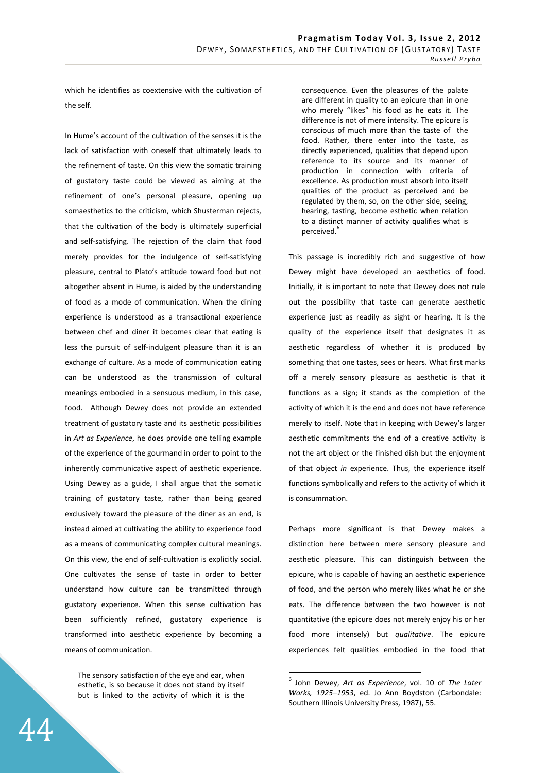which he identifies as coextensive with the cultivation of the self.

In Hume's account of the cultivation of the senses it is the lack of satisfaction with oneself that ultimately leads to the refinement of taste. On this view the somatic training of gustatory taste could be viewed as aiming at the refinement of one's personal pleasure, opening up somaesthetics to the criticism, which Shusterman rejects, that the cultivation of the body is ultimately superficial and self-satisfying. The rejection of the claim that food merely provides for the indulgence of self-satisfying pleasure, central to Plato's attitude toward food but not altogether absent in Hume, is aided by the understanding of food as a mode of communication. When the dining experience is understood as a transactional experience between chef and diner it becomes clear that eating is less the pursuit of self-indulgent pleasure than it is an exchange of culture. As a mode of communication eating can be understood as the transmission of cultural meanings embodied in a sensuous medium, in this case, food. Although Dewey does not provide an extended treatment of gustatory taste and its aesthetic possibilities in *Art as Experience*, he does provide one telling example of the experience of the gourmand in order to point to the inherently communicative aspect of aesthetic experience. Using Dewey as a guide, I shall argue that the somatic training of gustatory taste, rather than being geared exclusively toward the pleasure of the diner as an end, is instead aimed at cultivating the ability to experience food as a means of communicating complex cultural meanings. On this view, the end of self-cultivation is explicitly social. One cultivates the sense of taste in order to better understand how culture can be transmitted through gustatory experience. When this sense cultivation has been sufficiently refined, gustatory experience is transformed into aesthetic experience by becoming a means of communication.

The sensory satisfaction of the eye and ear, when esthetic, is so because it does not stand by itself but is linked to the activity of which it is the

44

consequence. Even the pleasures of the palate are different in quality to an epicure than in one who merely "likes" his food as he eats it. The difference is not of mere intensity. The epicure is conscious of much more than the taste of the food. Rather, there enter into the taste, as directly experienced, qualities that depend upon reference to its source and its manner of production in connection with criteria of excellence. As production must absorb into itself qualities of the product as perceived and be regulated by them, so, on the other side, seeing, hearing, tasting, become esthetic when relation to a distinct manner of activity qualifies what is perceived.<sup>6</sup>

This passage is incredibly rich and suggestive of how Dewey might have developed an aesthetics of food. Initially, it is important to note that Dewey does not rule out the possibility that taste can generate aesthetic experience just as readily as sight or hearing. It is the quality of the experience itself that designates it as aesthetic regardless of whether it is produced by something that one tastes, sees or hears. What first marks off a merely sensory pleasure as aesthetic is that it functions as a sign; it stands as the completion of the activity of which it is the end and does not have reference merely to itself. Note that in keeping with Dewey's larger aesthetic commitments the end of a creative activity is not the art object or the finished dish but the enjoyment of that object *in* experience. Thus, the experience itself functions symbolically and refers to the activity of which it is consummation.

Perhaps more significant is that Dewey makes a distinction here between mere sensory pleasure and aesthetic pleasure. This can distinguish between the epicure, who is capable of having an aesthetic experience of food, and the person who merely likes what he or she eats. The difference between the two however is not quantitative (the epicure does not merely enjoy his or her food more intensely) but *qualitative*. The epicure experiences felt qualities embodied in the food that

<sup>6</sup> John Dewey, *Art as Experience*, vol. 10 of *The Later Works, 1925*–*1953*, ed. Jo Ann Boydston (Carbondale: Southern Illinois University Press, 1987), 55.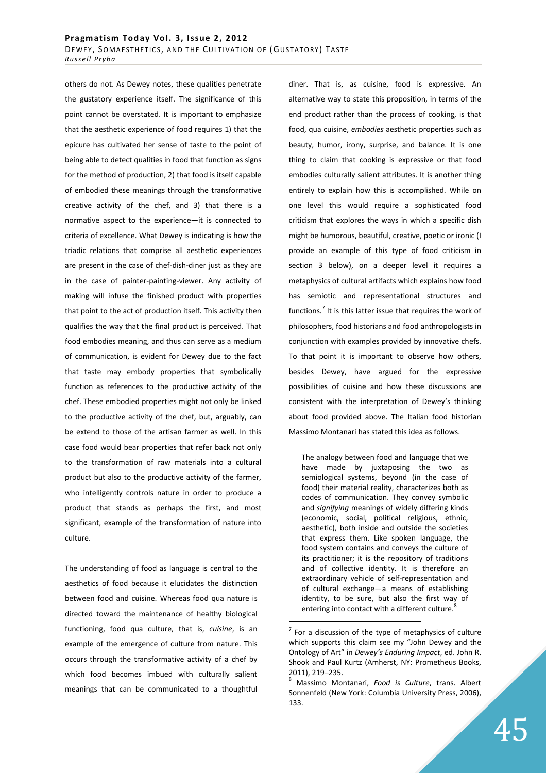others do not. As Dewey notes, these qualities penetrate the gustatory experience itself. The significance of this point cannot be overstated. It is important to emphasize that the aesthetic experience of food requires 1) that the epicure has cultivated her sense of taste to the point of being able to detect qualities in food that function as signs for the method of production, 2) that food is itself capable of embodied these meanings through the transformative creative activity of the chef, and 3) that there is a normative aspect to the experience—it is connected to criteria of excellence. What Dewey is indicating is how the triadic relations that comprise all aesthetic experiences are present in the case of chef-dish-diner just as they are in the case of painter-painting-viewer. Any activity of making will infuse the finished product with properties that point to the act of production itself. This activity then qualifies the way that the final product is perceived. That food embodies meaning, and thus can serve as a medium of communication, is evident for Dewey due to the fact that taste may embody properties that symbolically function as references to the productive activity of the chef. These embodied properties might not only be linked to the productive activity of the chef, but, arguably, can be extend to those of the artisan farmer as well. In this case food would bear properties that refer back not only to the transformation of raw materials into a cultural product but also to the productive activity of the farmer, who intelligently controls nature in order to produce a product that stands as perhaps the first, and most significant, example of the transformation of nature into culture.

The understanding of food as language is central to the aesthetics of food because it elucidates the distinction between food and cuisine. Whereas food qua nature is directed toward the maintenance of healthy biological functioning, food qua culture, that is, *cuisine*, is an example of the emergence of culture from nature. This occurs through the transformative activity of a chef by which food becomes imbued with culturally salient meanings that can be communicated to a thoughtful

diner. That is, as cuisine, food is expressive. An alternative way to state this proposition, in terms of the end product rather than the process of cooking, is that food, qua cuisine, *embodies* aesthetic properties such as beauty, humor, irony, surprise, and balance. It is one thing to claim that cooking is expressive or that food embodies culturally salient attributes. It is another thing entirely to explain how this is accomplished. While on one level this would require a sophisticated food criticism that explores the ways in which a specific dish might be humorous, beautiful, creative, poetic or ironic (I provide an example of this type of food criticism in section 3 below), on a deeper level it requires a metaphysics of cultural artifacts which explains how food has semiotic and representational structures and functions.<sup>7</sup> It is this latter issue that requires the work of philosophers, food historians and food anthropologists in conjunction with examples provided by innovative chefs. To that point it is important to observe how others, besides Dewey, have argued for the expressive possibilities of cuisine and how these discussions are consistent with the interpretation of Dewey's thinking about food provided above. The Italian food historian Massimo Montanari has stated this idea as follows.

The analogy between food and language that we have made by juxtaposing the two as semiological systems, beyond (in the case of food) their material reality, characterizes both as codes of communication. They convey symbolic and *signifying* meanings of widely differing kinds (economic, social, political religious, ethnic, aesthetic), both inside and outside the societies that express them. Like spoken language, the food system contains and conveys the culture of its practitioner; it is the repository of traditions and of collective identity. It is therefore an extraordinary vehicle of self-representation and of cultural exchange—a means of establishing identity, to be sure, but also the first way of entering into contact with a different culture.<sup>8</sup>

 $7$  For a discussion of the type of metaphysics of culture which supports this claim see my "John Dewey and the Ontology of Art" in *Dewey's Enduring Impact*, ed. John R. Shook and Paul Kurtz (Amherst, NY: Prometheus Books, 2011), 219–235.

<sup>8</sup> Massimo Montanari, *Food is Culture*, trans. Albert Sonnenfeld (New York: Columbia University Press, 2006), 133.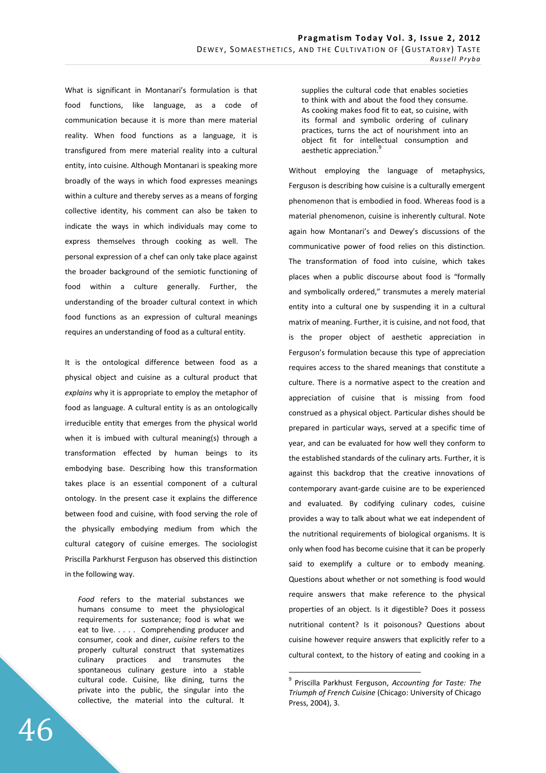What is significant in Montanari's formulation is that food functions, like language, as a code of communication because it is more than mere material reality. When food functions as a language, it is transfigured from mere material reality into a cultural entity, into cuisine. Although Montanari is speaking more broadly of the ways in which food expresses meanings within a culture and thereby serves as a means of forging collective identity, his comment can also be taken to indicate the ways in which individuals may come to express themselves through cooking as well. The personal expression of a chef can only take place against the broader background of the semiotic functioning of food within a culture generally. Further, the understanding of the broader cultural context in which food functions as an expression of cultural meanings requires an understanding of food as a cultural entity.

It is the ontological difference between food as a physical object and cuisine as a cultural product that *explains* why it is appropriate to employ the metaphor of food as language. A cultural entity is as an ontologically irreducible entity that emerges from the physical world when it is imbued with cultural meaning(s) through a transformation effected by human beings to its embodying base. Describing how this transformation takes place is an essential component of a cultural ontology. In the present case it explains the difference between food and cuisine, with food serving the role of the physically embodying medium from which the cultural category of cuisine emerges. The sociologist Priscilla Parkhurst Ferguson has observed this distinction in the following way.

*Food* refers to the material substances we humans consume to meet the physiological requirements for sustenance; food is what we eat to live. . . . . Comprehending producer and consumer, cook and diner, *cuisine* refers to the properly cultural construct that systematizes culinary practices and transmutes the spontaneous culinary gesture into a stable cultural code. Cuisine, like dining, turns the private into the public, the singular into the collective, the material into the cultural. It

supplies the cultural code that enables societies to think with and about the food they consume. As cooking makes food fit to eat, so cuisine, with its formal and symbolic ordering of culinary practices, turns the act of nourishment into an object fit for intellectual consumption and aesthetic appreciation.

Without employing the language of metaphysics, Ferguson is describing how cuisine is a culturally emergent phenomenon that is embodied in food. Whereas food is a material phenomenon, cuisine is inherently cultural. Note again how Montanari's and Dewey's discussions of the communicative power of food relies on this distinction. The transformation of food into cuisine, which takes places when a public discourse about food is "formally and symbolically ordered," transmutes a merely material entity into a cultural one by suspending it in a cultural matrix of meaning. Further, it is cuisine, and not food, that is the proper object of aesthetic appreciation in Ferguson's formulation because this type of appreciation requires access to the shared meanings that constitute a culture. There is a normative aspect to the creation and appreciation of cuisine that is missing from food construed as a physical object. Particular dishes should be prepared in particular ways, served at a specific time of year, and can be evaluated for how well they conform to the established standards of the culinary arts. Further, it is against this backdrop that the creative innovations of contemporary avant-garde cuisine are to be experienced and evaluated. By codifying culinary codes, cuisine provides a way to talk about what we eat independent of the nutritional requirements of biological organisms. It is only when food has become cuisine that it can be properly said to exemplify a culture or to embody meaning. Questions about whether or not something is food would require answers that make reference to the physical properties of an object. Is it digestible? Does it possess nutritional content? Is it poisonous? Questions about cuisine however require answers that explicitly refer to a cultural context, to the history of eating and cooking in a

<sup>9</sup> Priscilla Parkhust Ferguson, *Accounting for Taste: The Triumph of French Cuisine* (Chicago: University of Chicago Press, 2004), 3.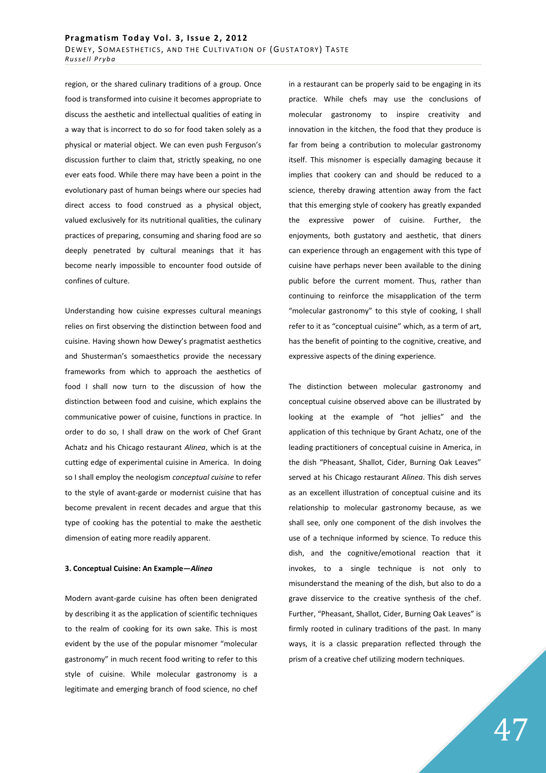region, or the shared culinary traditions of a group. Once food is transformed into cuisine it becomes appropriate to discuss the aesthetic and intellectual qualities of eating in a way that is incorrect to do so for food taken solely as a physical or material object. We can even push Ferguson's discussion further to claim that, strictly speaking, no one ever eats food. While there may have been a point in the evolutionary past of human beings where our species had direct access to food construed as a physical object, valued exclusively for its nutritional qualities, the culinary practices of preparing, consuming and sharing food are so deeply penetrated by cultural meanings that it has become nearly impossible to encounter food outside of confines of culture.

Understanding how cuisine expresses cultural meanings relies on first observing the distinction between food and cuisine. Having shown how Dewey's pragmatist aesthetics and Shusterman's somaesthetics provide the necessary frameworks from which to approach the aesthetics of food I shall now turn to the discussion of how the distinction between food and cuisine, which explains the communicative power of cuisine, functions in practice. In order to do so, I shall draw on the work of Chef Grant Achatz and his Chicago restaurant *Alinea*, which is at the cutting edge of experimental cuisine in America. In doing so I shall employ the neologism *conceptual cuisine* to refer to the style of avant-garde or modernist cuisine that has become prevalent in recent decades and argue that this type of cooking has the potential to make the aesthetic dimension of eating more readily apparent.

## **3. Conceptual Cuisine: An Example—***Alinea*

Modern avant-garde cuisine has often been denigrated by describing it as the application of scientific techniques to the realm of cooking for its own sake. This is most evident by the use of the popular misnomer "molecular gastronomy" in much recent food writing to refer to this style of cuisine. While molecular gastronomy is a legitimate and emerging branch of food science, no chef in a restaurant can be properly said to be engaging in its practice. While chefs may use the conclusions of molecular gastronomy to inspire creativity and innovation in the kitchen, the food that they produce is far from being a contribution to molecular gastronomy itself. This misnomer is especially damaging because it implies that cookery can and should be reduced to a science, thereby drawing attention away from the fact that this emerging style of cookery has greatly expanded the expressive power of cuisine. Further, the enjoyments, both gustatory and aesthetic, that diners can experience through an engagement with this type of cuisine have perhaps never been available to the dining public before the current moment. Thus, rather than continuing to reinforce the misapplication of the term "molecular gastronomy" to this style of cooking, I shall refer to it as "conceptual cuisine" which, as a term of art, has the benefit of pointing to the cognitive, creative, and expressive aspects of the dining experience.

The distinction between molecular gastronomy and conceptual cuisine observed above can be illustrated by looking at the example of "hot jellies" and the application of this technique by Grant Achatz, one of the leading practitioners of conceptual cuisine in America, in the dish "Pheasant, Shallot, Cider, Burning Oak Leaves" served at his Chicago restaurant *Alinea*. This dish serves as an excellent illustration of conceptual cuisine and its relationship to molecular gastronomy because, as we shall see, only one component of the dish involves the use of a technique informed by science. To reduce this dish, and the cognitive/emotional reaction that it invokes, to a single technique is not only to misunderstand the meaning of the dish, but also to do a grave disservice to the creative synthesis of the chef. Further, "Pheasant, Shallot, Cider, Burning Oak Leaves" is firmly rooted in culinary traditions of the past. In many ways, it is a classic preparation reflected through the prism of a creative chef utilizing modern techniques.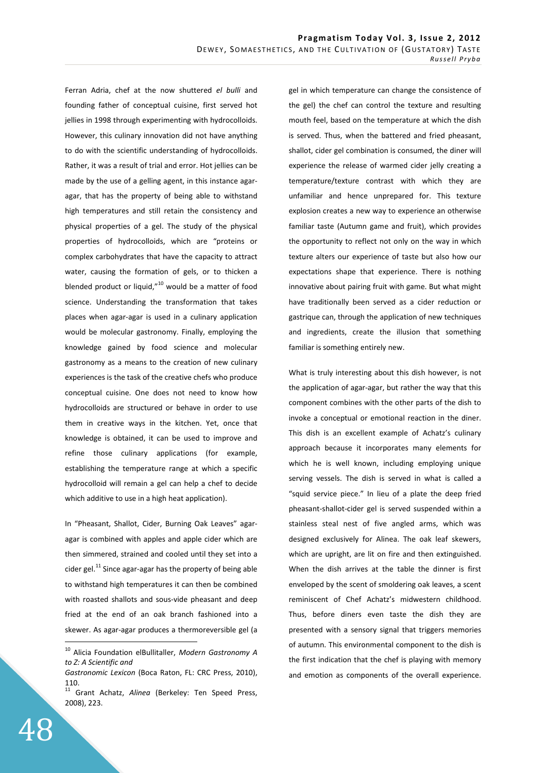Ferran Adria, chef at the now shuttered *el bulli* and founding father of conceptual cuisine, first served hot jellies in 1998 through experimenting with hydrocolloids. However, this culinary innovation did not have anything to do with the scientific understanding of hydrocolloids. Rather, it was a result of trial and error. Hot jellies can be made by the use of a gelling agent, in this instance agaragar, that has the property of being able to withstand high temperatures and still retain the consistency and physical properties of a gel. The study of the physical properties of hydrocolloids, which are "proteins or complex carbohydrates that have the capacity to attract water, causing the formation of gels, or to thicken a blended product or liquid, $"^{10}$  would be a matter of food science. Understanding the transformation that takes places when agar-agar is used in a culinary application would be molecular gastronomy. Finally, employing the knowledge gained by food science and molecular gastronomy as a means to the creation of new culinary experiences is the task of the creative chefs who produce conceptual cuisine. One does not need to know how hydrocolloids are structured or behave in order to use them in creative ways in the kitchen. Yet, once that knowledge is obtained, it can be used to improve and refine those culinary applications (for example, establishing the temperature range at which a specific hydrocolloid will remain a gel can help a chef to decide which additive to use in a high heat application).

In "Pheasant, Shallot, Cider, Burning Oak Leaves" agaragar is combined with apples and apple cider which are then simmered, strained and cooled until they set into a cider gel. $^{11}$  Since agar-agar has the property of being able to withstand high temperatures it can then be combined with roasted shallots and sous-vide pheasant and deep fried at the end of an oak branch fashioned into a skewer. As agar-agar produces a thermoreversible gel (a

gel in which temperature can change the consistence of the gel) the chef can control the texture and resulting mouth feel, based on the temperature at which the dish is served. Thus, when the battered and fried pheasant, shallot, cider gel combination is consumed, the diner will experience the release of warmed cider jelly creating a temperature/texture contrast with which they are unfamiliar and hence unprepared for. This texture explosion creates a new way to experience an otherwise familiar taste (Autumn game and fruit), which provides the opportunity to reflect not only on the way in which texture alters our experience of taste but also how our expectations shape that experience. There is nothing innovative about pairing fruit with game. But what might have traditionally been served as a cider reduction or gastrique can, through the application of new techniques and ingredients, create the illusion that something familiar is something entirely new.

What is truly interesting about this dish however, is not the application of agar-agar, but rather the way that this component combines with the other parts of the dish to invoke a conceptual or emotional reaction in the diner. This dish is an excellent example of Achatz's culinary approach because it incorporates many elements for which he is well known, including employing unique serving vessels. The dish is served in what is called a "squid service piece." In lieu of a plate the deep fried pheasant-shallot-cider gel is served suspended within a stainless steal nest of five angled arms, which was designed exclusively for Alinea. The oak leaf skewers, which are upright, are lit on fire and then extinguished. When the dish arrives at the table the dinner is first enveloped by the scent of smoldering oak leaves, a scent reminiscent of Chef Achatz's midwestern childhood. Thus, before diners even taste the dish they are presented with a sensory signal that triggers memories of autumn. This environmental component to the dish is the first indication that the chef is playing with memory and emotion as components of the overall experience.

<sup>10</sup> Alicia Foundation elBullitaller, *Modern Gastronomy A to Z: A Scientific and* 

*Gastronomic Lexicon* (Boca Raton, FL: CRC Press, 2010), 110.

<sup>11</sup> Grant Achatz, *Alinea* (Berkeley: Ten Speed Press, 2008), 223.